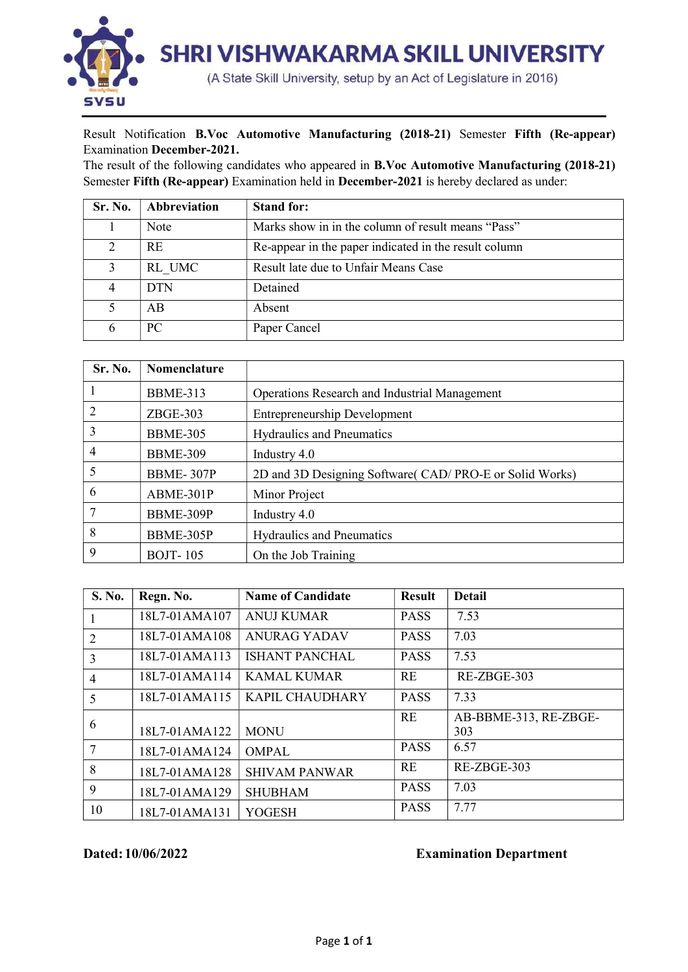

## Result Notification B.Voc Automotive Manufacturing (2018-21) Semester Fifth (Re-appear) Examination December-2021.

The result of the following candidates who appeared in B.Voc Automotive Manufacturing (2018-21) Semester Fifth (Re-appear) Examination held in December-2021 is hereby declared as under:

| Sr. No. | Abbreviation | <b>Stand for:</b>                                     |
|---------|--------------|-------------------------------------------------------|
|         | Note         | Marks show in in the column of result means "Pass"    |
|         | <b>RE</b>    | Re-appear in the paper indicated in the result column |
|         | RL UMC       | Result late due to Unfair Means Case                  |
|         | <b>DTN</b>   | Detained                                              |
|         | AB           | Absent                                                |
|         | PC.          | Paper Cancel                                          |

| Sr. No. | <b>Nomenclature</b> |                                                        |
|---------|---------------------|--------------------------------------------------------|
|         | <b>BBME-313</b>     | Operations Research and Industrial Management          |
| 2       | $ZBGE-303$          | <b>Entrepreneurship Development</b>                    |
| 3       | <b>BBME-305</b>     | <b>Hydraulics and Pneumatics</b>                       |
| 4       | <b>BBME-309</b>     | Industry 4.0                                           |
| 5       | BBME-307P           | 2D and 3D Designing Software(CAD/PRO-E or Solid Works) |
| 6       | ABME-301P           | Minor Project                                          |
|         | BBME-309P           | Industry 4.0                                           |
| 8       | BBME-305P           | <b>Hydraulics and Pneumatics</b>                       |
| 9       | <b>BOJT-105</b>     | On the Job Training                                    |

| <b>S. No.</b>  | Regn. No.     | <b>Name of Candidate</b> | <b>Result</b> | <b>Detail</b>         |
|----------------|---------------|--------------------------|---------------|-----------------------|
| 1              | 18L7-01AMA107 | <b>ANUJ KUMAR</b>        | <b>PASS</b>   | 7.53                  |
| $\overline{2}$ | 18L7-01AMA108 | <b>ANURAG YADAV</b>      | <b>PASS</b>   | 7.03                  |
| 3              | 18L7-01AMA113 | <b>ISHANT PANCHAL</b>    | <b>PASS</b>   | 7.53                  |
| $\overline{4}$ | 18L7-01AMA114 | <b>KAMAL KUMAR</b>       | RE            | RE-ZBGE-303           |
| 5              | 18L7-01AMA115 | <b>KAPIL CHAUDHARY</b>   | <b>PASS</b>   | 7.33                  |
| 6              |               |                          | <b>RE</b>     | AB-BBME-313, RE-ZBGE- |
|                | 18L7-01AMA122 | <b>MONU</b>              |               | 303                   |
| 7              | 18L7-01AMA124 | <b>OMPAL</b>             | <b>PASS</b>   | 6.57                  |
| 8              | 18L7-01AMA128 | <b>SHIVAM PANWAR</b>     | <b>RE</b>     | RE-ZBGE-303           |
| 9              | 18L7-01AMA129 | <b>SHUBHAM</b>           | <b>PASS</b>   | 7.03                  |
| 10             | 18L7-01AMA131 | YOGESH                   | <b>PASS</b>   | 7.77                  |

## Dated: 10/06/2022 Examination Department